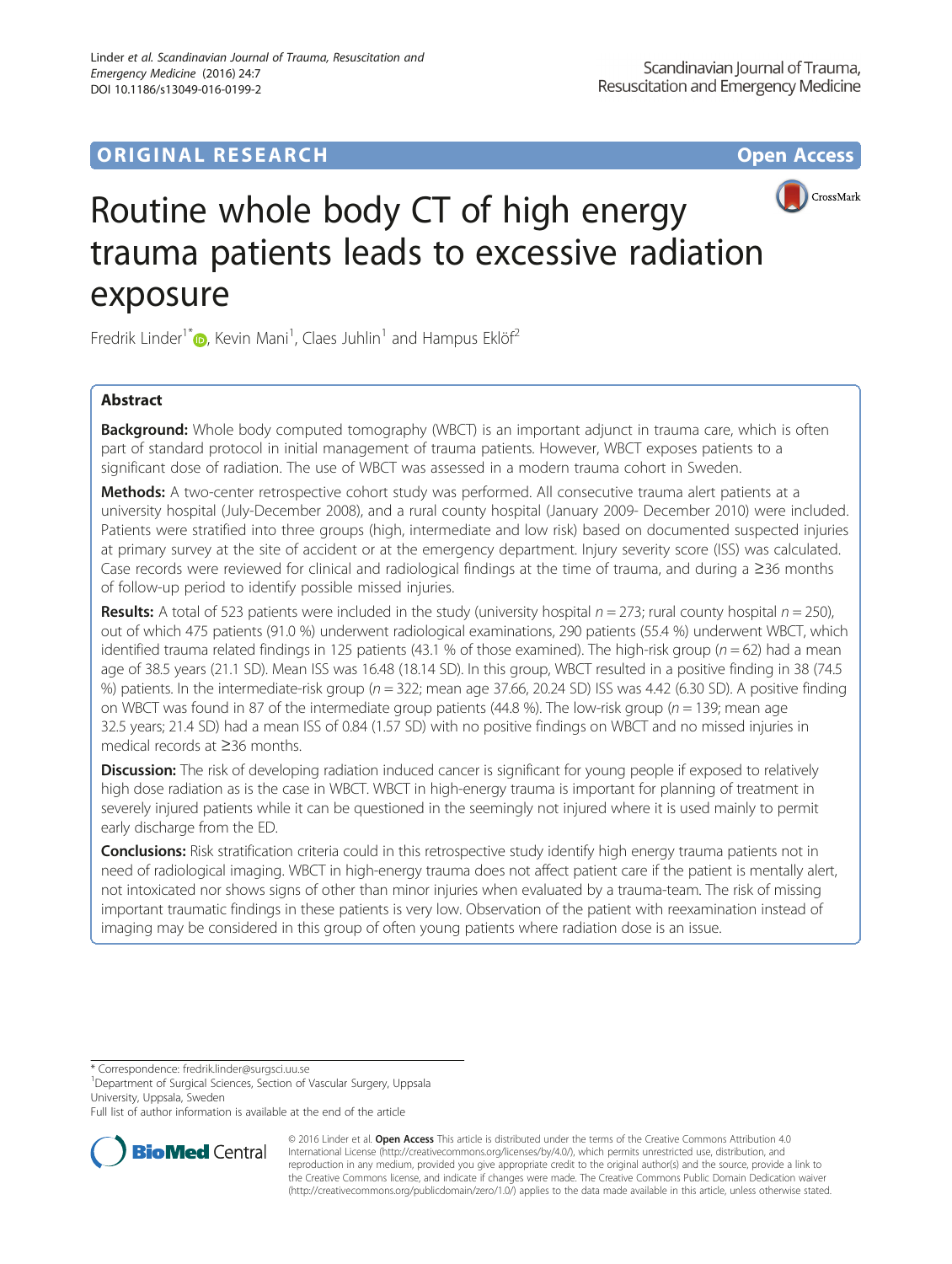# **ORIGINAL RESEARCH CONSUMING ACCESS**



# Routine whole body CT of high energy trauma patients leads to excessive radiation exposure

Fredrik Linder<sup>1\*</sup>®[,](http://orcid.org/0000-0001-8125-4536) Kevin Mani<sup>1</sup>, Claes Juhlin<sup>1</sup> and Hampus Eklöf<sup>2</sup>

## Abstract

**Background:** Whole body computed tomography (WBCT) is an important adjunct in trauma care, which is often part of standard protocol in initial management of trauma patients. However, WBCT exposes patients to a significant dose of radiation. The use of WBCT was assessed in a modern trauma cohort in Sweden.

Methods: A two-center retrospective cohort study was performed. All consecutive trauma alert patients at a university hospital (July-December 2008), and a rural county hospital (January 2009- December 2010) were included. Patients were stratified into three groups (high, intermediate and low risk) based on documented suspected injuries at primary survey at the site of accident or at the emergency department. Injury severity score (ISS) was calculated. Case records were reviewed for clinical and radiological findings at the time of trauma, and during a ≥36 months of follow-up period to identify possible missed injuries.

**Results:** A total of 523 patients were included in the study (university hospital  $n = 273$ ; rural county hospital  $n = 250$ ), out of which 475 patients (91.0 %) underwent radiological examinations, 290 patients (55.4 %) underwent WBCT, which identified trauma related findings in 125 patients (43.1 % of those examined). The high-risk group ( $n = 62$ ) had a mean age of 38.5 years (21.1 SD). Mean ISS was 16.48 (18.14 SD). In this group, WBCT resulted in a positive finding in 38 (74.5 %) patients. In the intermediate-risk group  $(n = 322)$ ; mean age 37.66, 20.24 SD) ISS was 4.42 (6.30 SD). A positive finding on WBCT was found in 87 of the intermediate group patients (44.8 %). The low-risk group ( $n = 139$ ; mean age 32.5 years; 21.4 SD) had a mean ISS of 0.84 (1.57 SD) with no positive findings on WBCT and no missed injuries in medical records at ≥36 months.

**Discussion:** The risk of developing radiation induced cancer is significant for young people if exposed to relatively high dose radiation as is the case in WBCT. WBCT in high-energy trauma is important for planning of treatment in severely injured patients while it can be questioned in the seemingly not injured where it is used mainly to permit early discharge from the ED.

**Conclusions:** Risk stratification criteria could in this retrospective study identify high energy trauma patients not in need of radiological imaging. WBCT in high-energy trauma does not affect patient care if the patient is mentally alert, not intoxicated nor shows signs of other than minor injuries when evaluated by a trauma-team. The risk of missing important traumatic findings in these patients is very low. Observation of the patient with reexamination instead of imaging may be considered in this group of often young patients where radiation dose is an issue.

\* Correspondence: [fredrik.linder@surgsci.uu.se](mailto:fredrik.linder@surgsci.uu.se) <sup>1</sup>

<sup>1</sup>Department of Surgical Sciences, Section of Vascular Surgery, Uppsala University, Uppsala, Sweden

Full list of author information is available at the end of the article



© 2016 Linder et al. Open Access This article is distributed under the terms of the Creative Commons Attribution 4.0 International License [\(http://creativecommons.org/licenses/by/4.0/](http://creativecommons.org/licenses/by/4.0/)), which permits unrestricted use, distribution, and reproduction in any medium, provided you give appropriate credit to the original author(s) and the source, provide a link to the Creative Commons license, and indicate if changes were made. The Creative Commons Public Domain Dedication waiver [\(http://creativecommons.org/publicdomain/zero/1.0/](http://creativecommons.org/publicdomain/zero/1.0/)) applies to the data made available in this article, unless otherwise stated.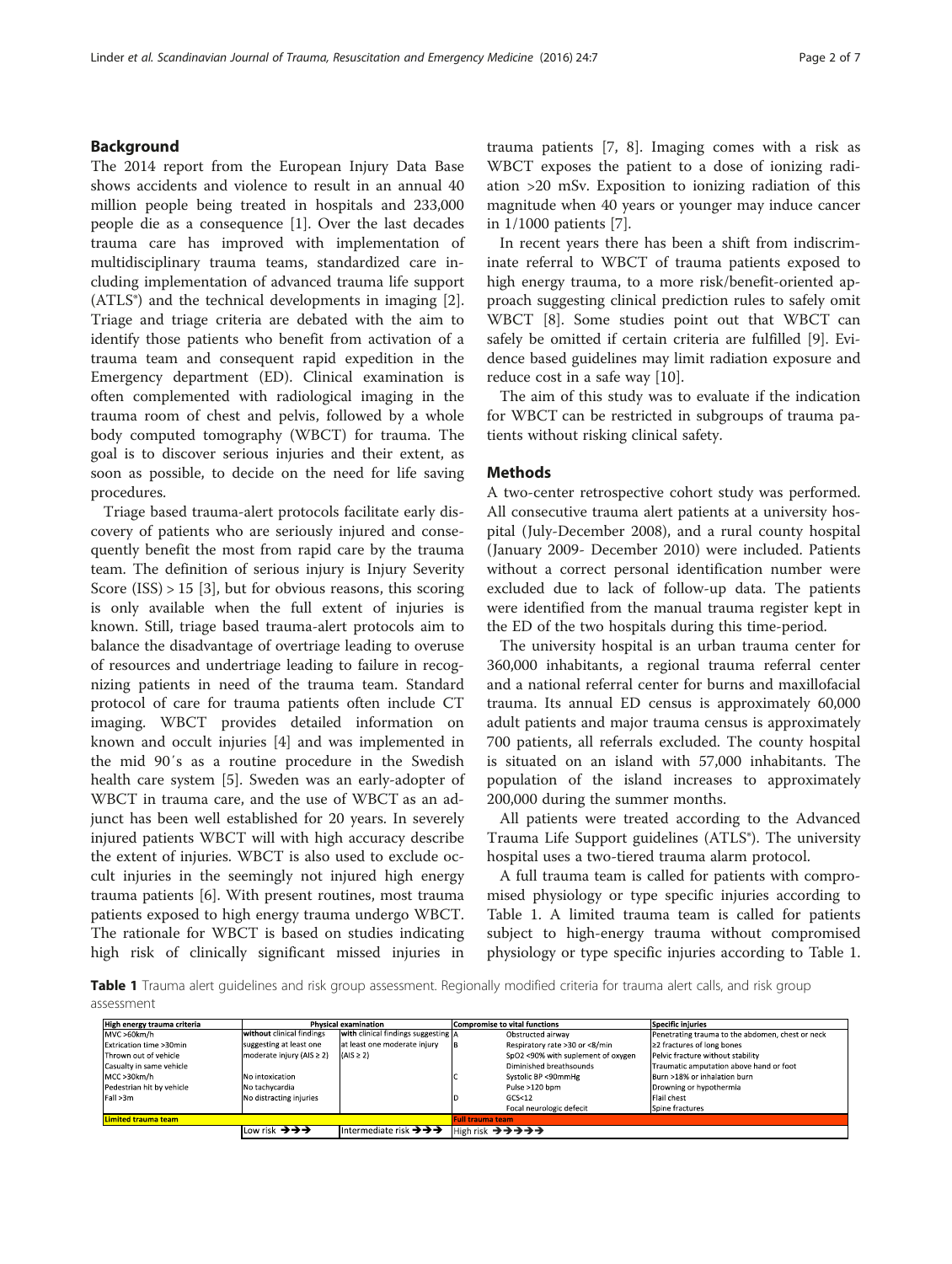### <span id="page-1-0"></span>Background

The 2014 report from the European Injury Data Base shows accidents and violence to result in an annual 40 million people being treated in hospitals and 233,000 people die as a consequence [[1\]](#page-6-0). Over the last decades trauma care has improved with implementation of multidisciplinary trauma teams, standardized care including implementation of advanced trauma life support  $(ATLS<sup>°</sup>)$  and the technical developments in imaging [\[2](#page-6-0)]. Triage and triage criteria are debated with the aim to identify those patients who benefit from activation of a trauma team and consequent rapid expedition in the Emergency department (ED). Clinical examination is often complemented with radiological imaging in the trauma room of chest and pelvis, followed by a whole body computed tomography (WBCT) for trauma. The goal is to discover serious injuries and their extent, as soon as possible, to decide on the need for life saving procedures.

Triage based trauma-alert protocols facilitate early discovery of patients who are seriously injured and consequently benefit the most from rapid care by the trauma team. The definition of serious injury is Injury Severity Score  $(ISS) > 15$  [\[3](#page-6-0)], but for obvious reasons, this scoring is only available when the full extent of injuries is known. Still, triage based trauma-alert protocols aim to balance the disadvantage of overtriage leading to overuse of resources and undertriage leading to failure in recognizing patients in need of the trauma team. Standard protocol of care for trauma patients often include CT imaging. WBCT provides detailed information on known and occult injuries [\[4](#page-6-0)] and was implemented in the mid 90′s as a routine procedure in the Swedish health care system [[5\]](#page-6-0). Sweden was an early-adopter of WBCT in trauma care, and the use of WBCT as an adjunct has been well established for 20 years. In severely injured patients WBCT will with high accuracy describe the extent of injuries. WBCT is also used to exclude occult injuries in the seemingly not injured high energy trauma patients [[6\]](#page-6-0). With present routines, most trauma patients exposed to high energy trauma undergo WBCT. The rationale for WBCT is based on studies indicating high risk of clinically significant missed injuries in trauma patients [[7, 8](#page-6-0)]. Imaging comes with a risk as WBCT exposes the patient to a dose of ionizing radiation >20 mSv. Exposition to ionizing radiation of this magnitude when 40 years or younger may induce cancer in 1/1000 patients [[7\]](#page-6-0).

In recent years there has been a shift from indiscriminate referral to WBCT of trauma patients exposed to high energy trauma, to a more risk/benefit-oriented approach suggesting clinical prediction rules to safely omit WBCT [\[8\]](#page-6-0). Some studies point out that WBCT can safely be omitted if certain criteria are fulfilled [\[9](#page-6-0)]. Evidence based guidelines may limit radiation exposure and reduce cost in a safe way [\[10\]](#page-6-0).

The aim of this study was to evaluate if the indication for WBCT can be restricted in subgroups of trauma patients without risking clinical safety.

#### **Methods**

A two-center retrospective cohort study was performed. All consecutive trauma alert patients at a university hospital (July-December 2008), and a rural county hospital (January 2009- December 2010) were included. Patients without a correct personal identification number were excluded due to lack of follow-up data. The patients were identified from the manual trauma register kept in the ED of the two hospitals during this time-period.

The university hospital is an urban trauma center for 360,000 inhabitants, a regional trauma referral center and a national referral center for burns and maxillofacial trauma. Its annual ED census is approximately 60,000 adult patients and major trauma census is approximately 700 patients, all referrals excluded. The county hospital is situated on an island with 57,000 inhabitants. The population of the island increases to approximately 200,000 during the summer months.

All patients were treated according to the Advanced Trauma Life Support guidelines (ATLS®). The university hospital uses a two-tiered trauma alarm protocol.

A full trauma team is called for patients with compromised physiology or type specific injuries according to Table 1. A limited trauma team is called for patients subject to high-energy trauma without compromised physiology or type specific injuries according to Table 1.

Table 1 Trauma alert guidelines and risk group assessment. Regionally modified criteria for trauma alert calls, and risk group assessment

| High energy trauma criteria | <b>Physical examination</b> |                                                         | <b>Compromise to vital functions</b>    | <b>Specific injuries</b>                         |  |
|-----------------------------|-----------------------------|---------------------------------------------------------|-----------------------------------------|--------------------------------------------------|--|
| MVC >60km/h                 | without clinical findings   | <b>With clinical findings suggesting A</b>              | Obstructed airway                       | Penetrating trauma to the abdomen, chest or neck |  |
| Extrication time >30min     | suggesting at least one     | at least one moderate injury                            | Respiratory rate >30 or <8/min          | ≥2 fractures of long bones                       |  |
| Thrown out of vehicle       | moderate injury (AIS ≥ 2)   | $(AIS \geq 2)$                                          | SpO2 <90% with suplement of oxygen      | Pelvic fracture without stability                |  |
| Casualty in same vehicle    |                             |                                                         | Diminished breathsounds                 | Traumatic amputation above hand or foot          |  |
| MCC >30km/h                 | No intoxication             |                                                         | Systolic BP <90mmHg                     | Burn >18% or inhalation burn                     |  |
| Pedestrian hit by vehicle   | No tachycardia              |                                                         | Pulse >120 bpm                          | Drowning or hypothermia                          |  |
| Fall >3m                    | No distracting injuries     |                                                         | <b>Flail chest</b><br>GCS <sub>12</sub> |                                                  |  |
|                             |                             |                                                         | Focal neurologic defecit                | Spine fractures                                  |  |
| <b>Limited trauma team</b>  |                             |                                                         | <b>Full trauma team</b>                 |                                                  |  |
|                             | Low risk →→→                | Intermediate risk $\rightarrow \rightarrow \rightarrow$ | High risk →→→→→                         |                                                  |  |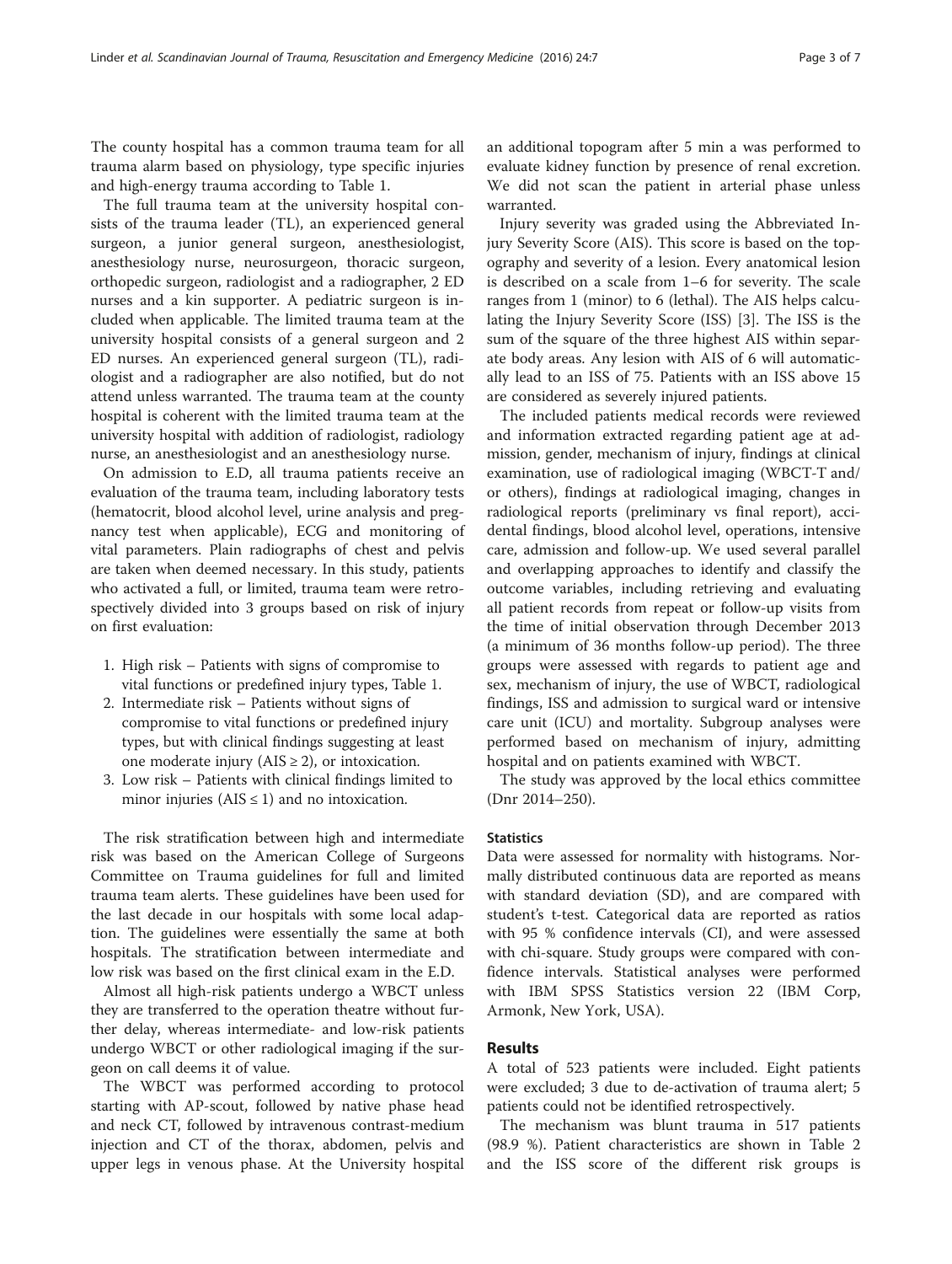The county hospital has a common trauma team for all trauma alarm based on physiology, type specific injuries and high-energy trauma according to Table [1](#page-1-0).

The full trauma team at the university hospital consists of the trauma leader (TL), an experienced general surgeon, a junior general surgeon, anesthesiologist, anesthesiology nurse, neurosurgeon, thoracic surgeon, orthopedic surgeon, radiologist and a radiographer, 2 ED nurses and a kin supporter. A pediatric surgeon is included when applicable. The limited trauma team at the university hospital consists of a general surgeon and 2 ED nurses. An experienced general surgeon (TL), radiologist and a radiographer are also notified, but do not attend unless warranted. The trauma team at the county hospital is coherent with the limited trauma team at the university hospital with addition of radiologist, radiology nurse, an anesthesiologist and an anesthesiology nurse.

On admission to E.D, all trauma patients receive an evaluation of the trauma team, including laboratory tests (hematocrit, blood alcohol level, urine analysis and pregnancy test when applicable), ECG and monitoring of vital parameters. Plain radiographs of chest and pelvis are taken when deemed necessary. In this study, patients who activated a full, or limited, trauma team were retrospectively divided into 3 groups based on risk of injury on first evaluation:

- 1. High risk Patients with signs of compromise to vital functions or predefined injury types, Table [1](#page-1-0).
- 2. Intermediate risk Patients without signs of compromise to vital functions or predefined injury types, but with clinical findings suggesting at least one moderate injury ( $AIS \geq 2$ ), or intoxication.
- 3. Low risk Patients with clinical findings limited to minor injuries ( $AIS \leq 1$ ) and no intoxication.

The risk stratification between high and intermediate risk was based on the American College of Surgeons Committee on Trauma guidelines for full and limited trauma team alerts. These guidelines have been used for the last decade in our hospitals with some local adaption. The guidelines were essentially the same at both hospitals. The stratification between intermediate and low risk was based on the first clinical exam in the E.D.

Almost all high-risk patients undergo a WBCT unless they are transferred to the operation theatre without further delay, whereas intermediate- and low-risk patients undergo WBCT or other radiological imaging if the surgeon on call deems it of value.

The WBCT was performed according to protocol starting with AP-scout, followed by native phase head and neck CT, followed by intravenous contrast-medium injection and CT of the thorax, abdomen, pelvis and upper legs in venous phase. At the University hospital an additional topogram after 5 min a was performed to evaluate kidney function by presence of renal excretion. We did not scan the patient in arterial phase unless warranted.

Injury severity was graded using the Abbreviated Injury Severity Score (AIS). This score is based on the topography and severity of a lesion. Every anatomical lesion is described on a scale from 1–6 for severity. The scale ranges from 1 (minor) to 6 (lethal). The AIS helps calculating the Injury Severity Score (ISS) [[3\]](#page-6-0). The ISS is the sum of the square of the three highest AIS within separate body areas. Any lesion with AIS of 6 will automatically lead to an ISS of 75. Patients with an ISS above 15 are considered as severely injured patients.

The included patients medical records were reviewed and information extracted regarding patient age at admission, gender, mechanism of injury, findings at clinical examination, use of radiological imaging (WBCT-T and/ or others), findings at radiological imaging, changes in radiological reports (preliminary vs final report), accidental findings, blood alcohol level, operations, intensive care, admission and follow-up. We used several parallel and overlapping approaches to identify and classify the outcome variables, including retrieving and evaluating all patient records from repeat or follow-up visits from the time of initial observation through December 2013 (a minimum of 36 months follow-up period). The three groups were assessed with regards to patient age and sex, mechanism of injury, the use of WBCT, radiological findings, ISS and admission to surgical ward or intensive care unit (ICU) and mortality. Subgroup analyses were performed based on mechanism of injury, admitting hospital and on patients examined with WBCT.

The study was approved by the local ethics committee (Dnr 2014–250).

#### **Statistics**

Data were assessed for normality with histograms. Normally distributed continuous data are reported as means with standard deviation (SD), and are compared with student's t-test. Categorical data are reported as ratios with 95 % confidence intervals (CI), and were assessed with chi-square. Study groups were compared with confidence intervals. Statistical analyses were performed with IBM SPSS Statistics version 22 (IBM Corp, Armonk, New York, USA).

#### Results

A total of 523 patients were included. Eight patients were excluded; 3 due to de-activation of trauma alert; 5 patients could not be identified retrospectively.

The mechanism was blunt trauma in 517 patients (98.9 %). Patient characteristics are shown in Table [2](#page-3-0) and the ISS score of the different risk groups is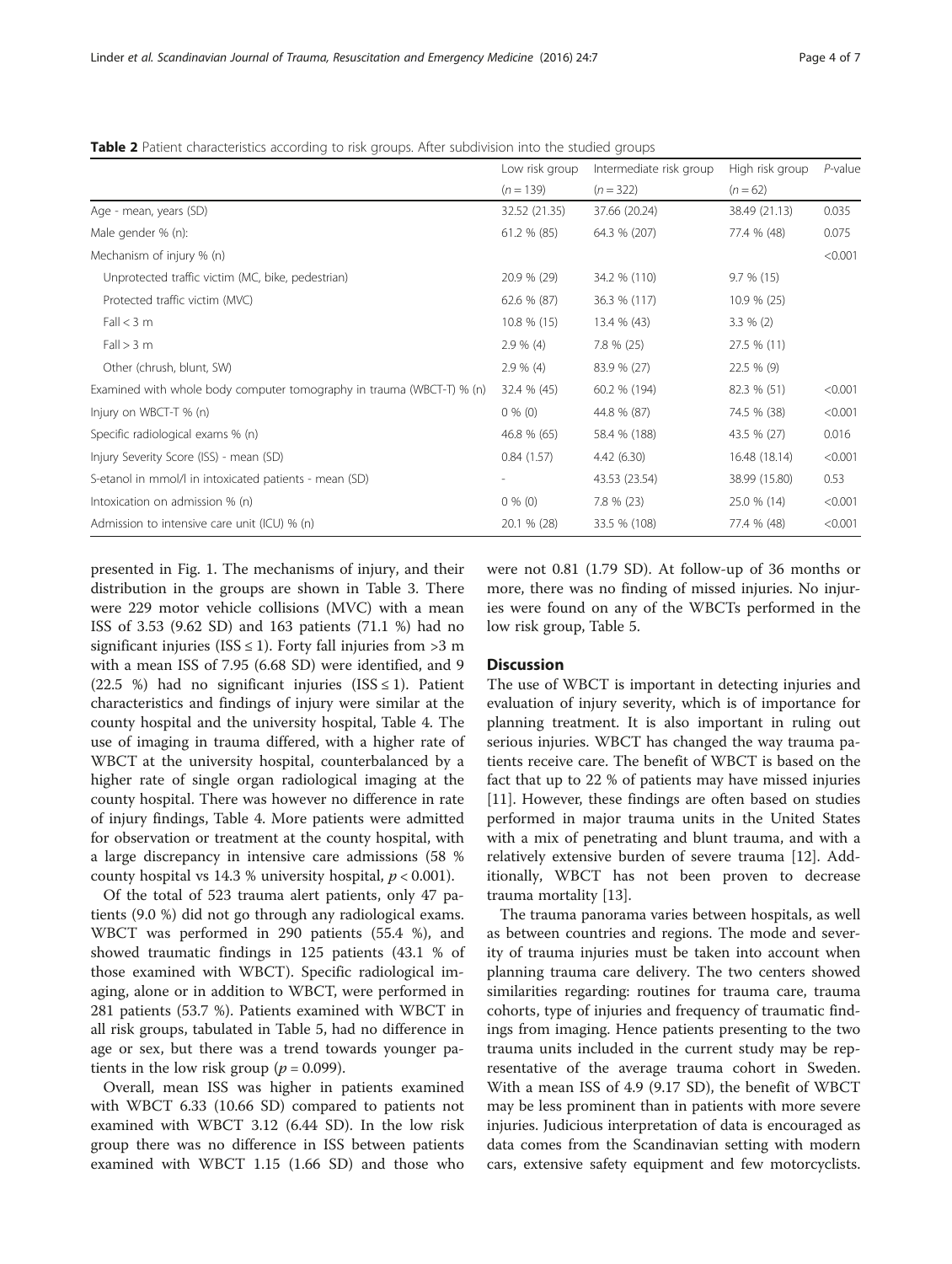<span id="page-3-0"></span>Table 2 Patient characteristics according to risk groups. After subdivision into the studied groups

|                                                                       | Low risk group | Intermediate risk group | High risk group | $P$ -value |
|-----------------------------------------------------------------------|----------------|-------------------------|-----------------|------------|
|                                                                       | $(n = 139)$    | $(n = 322)$             | $(n = 62)$      |            |
| Age - mean, years (SD)                                                | 32.52 (21.35)  | 37.66 (20.24)           | 38.49 (21.13)   | 0.035      |
| Male gender % (n):                                                    | 61.2 % (85)    | 64.3 % (207)            | 77.4 % (48)     | 0.075      |
| Mechanism of injury % (n)                                             |                |                         |                 | < 0.001    |
| Unprotected traffic victim (MC, bike, pedestrian)                     | 20.9 % (29)    | 34.2 % (110)            | $9.7 \% (15)$   |            |
| Protected traffic victim (MVC)                                        | 62.6 % (87)    | 36.3 % (117)            | 10.9 % (25)     |            |
| Fall < 3 m                                                            | $10.8 \% (15)$ | 13.4 % (43)             | $3.3 \% (2)$    |            |
| Fall > 3 m                                                            | $2.9 \% (4)$   | $7.8 \% (25)$           | 27.5 % (11)     |            |
| Other (chrush, blunt, SW)                                             | $2.9 \% (4)$   | 83.9 % (27)             | 22.5 % (9)      |            |
| Examined with whole body computer tomography in trauma (WBCT-T) % (n) | 32.4 % (45)    | 60.2 % (194)            | 82.3 % (51)     | < 0.001    |
| Injury on WBCT-T % (n)                                                | $0\%$ (0)      | 44.8 % (87)             | 74.5 % (38)     | < 0.001    |
| Specific radiological exams % (n)                                     | 46.8 % (65)    | 58.4 % (188)            | 43.5 % (27)     | 0.016      |
| Injury Severity Score (ISS) - mean (SD)                               | 0.84(1.57)     | 4.42 (6.30)             | 16.48 (18.14)   | < 0.001    |
| S-etanol in mmol/l in intoxicated patients - mean (SD)                |                | 43.53 (23.54)           | 38.99 (15.80)   | 0.53       |
| Intoxication on admission % (n)                                       | $0\%$ (0)      | $7.8 \% (23)$           | 25.0 % (14)     | < 0.001    |
| Admission to intensive care unit (ICU) % (n)                          | 20.1 % (28)    | 33.5 % (108)            | 77.4 % (48)     | < 0.001    |

presented in Fig. [1.](#page-4-0) The mechanisms of injury, and their distribution in the groups are shown in Table [3](#page-4-0). There were 229 motor vehicle collisions (MVC) with a mean ISS of 3.53 (9.62 SD) and 163 patients (71.1 %) had no significant injuries (ISS  $\leq$  1). Forty fall injuries from  $>$ 3 m with a mean ISS of 7.95 (6.68 SD) were identified, and 9 (22.5 %) had no significant injuries (ISS  $\leq$  1). Patient characteristics and findings of injury were similar at the county hospital and the university hospital, Table [4.](#page-5-0) The use of imaging in trauma differed, with a higher rate of WBCT at the university hospital, counterbalanced by a higher rate of single organ radiological imaging at the county hospital. There was however no difference in rate of injury findings, Table [4](#page-5-0). More patients were admitted for observation or treatment at the county hospital, with a large discrepancy in intensive care admissions (58 % county hospital vs 14.3 % university hospital,  $p < 0.001$ ).

Of the total of 523 trauma alert patients, only 47 patients (9.0 %) did not go through any radiological exams. WBCT was performed in 290 patients (55.4 %), and showed traumatic findings in 125 patients (43.1 % of those examined with WBCT). Specific radiological imaging, alone or in addition to WBCT, were performed in 281 patients (53.7 %). Patients examined with WBCT in all risk groups, tabulated in Table [5](#page-5-0), had no difference in age or sex, but there was a trend towards younger patients in the low risk group ( $p = 0.099$ ).

Overall, mean ISS was higher in patients examined with WBCT 6.33 (10.66 SD) compared to patients not examined with WBCT 3.12 (6.44 SD). In the low risk group there was no difference in ISS between patients examined with WBCT 1.15 (1.66 SD) and those who were not 0.81 (1.79 SD). At follow-up of 36 months or more, there was no finding of missed injuries. No injuries were found on any of the WBCTs performed in the low risk group, Table [5.](#page-5-0)

#### **Discussion**

The use of WBCT is important in detecting injuries and evaluation of injury severity, which is of importance for planning treatment. It is also important in ruling out serious injuries. WBCT has changed the way trauma patients receive care. The benefit of WBCT is based on the fact that up to 22 % of patients may have missed injuries [[11\]](#page-6-0). However, these findings are often based on studies performed in major trauma units in the United States with a mix of penetrating and blunt trauma, and with a relatively extensive burden of severe trauma [\[12](#page-6-0)]. Additionally, WBCT has not been proven to decrease trauma mortality [\[13\]](#page-6-0).

The trauma panorama varies between hospitals, as well as between countries and regions. The mode and severity of trauma injuries must be taken into account when planning trauma care delivery. The two centers showed similarities regarding: routines for trauma care, trauma cohorts, type of injuries and frequency of traumatic findings from imaging. Hence patients presenting to the two trauma units included in the current study may be representative of the average trauma cohort in Sweden. With a mean ISS of 4.9 (9.17 SD), the benefit of WBCT may be less prominent than in patients with more severe injuries. Judicious interpretation of data is encouraged as data comes from the Scandinavian setting with modern cars, extensive safety equipment and few motorcyclists.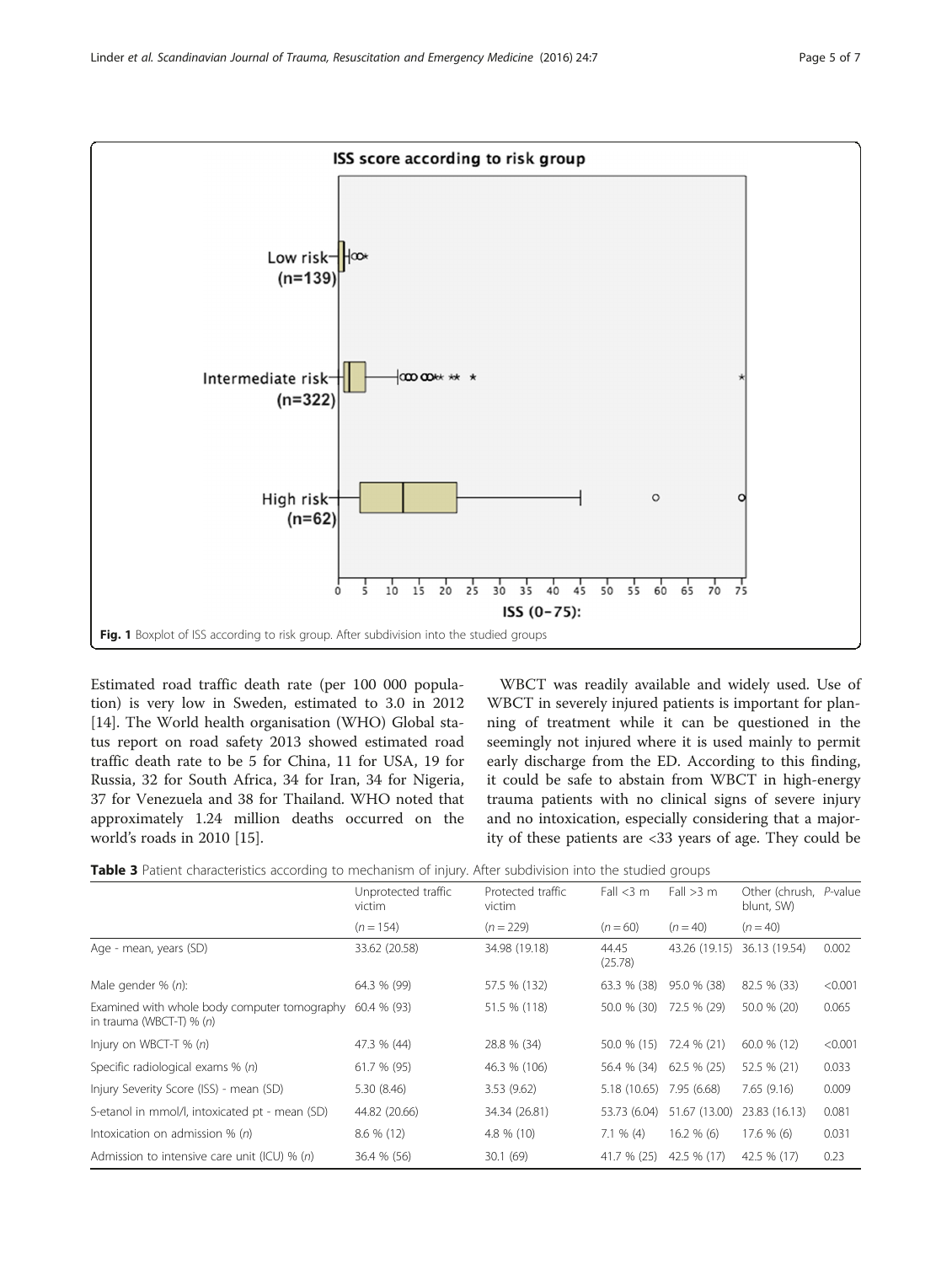<span id="page-4-0"></span>

Estimated road traffic death rate (per 100 000 population) is very low in Sweden, estimated to 3.0 in 2012 [[14\]](#page-6-0). The World health organisation (WHO) Global status report on road safety 2013 showed estimated road traffic death rate to be 5 for China, 11 for USA, 19 for Russia, 32 for South Africa, 34 for Iran, 34 for Nigeria, 37 for Venezuela and 38 for Thailand. WHO noted that approximately 1.24 million deaths occurred on the world's roads in 2010 [[15\]](#page-6-0).

WBCT was readily available and widely used. Use of WBCT in severely injured patients is important for planning of treatment while it can be questioned in the seemingly not injured where it is used mainly to permit early discharge from the ED. According to this finding, it could be safe to abstain from WBCT in high-energy trauma patients with no clinical signs of severe injury and no intoxication, especially considering that a majority of these patients are <33 years of age. They could be

| Table 3 Patient characteristics according to mechanism of injury. After subdivision into the studied groups |  |  |  |
|-------------------------------------------------------------------------------------------------------------|--|--|--|
|-------------------------------------------------------------------------------------------------------------|--|--|--|

|                                                                            | Unprotected traffic<br>victim | Protected traffic<br>victim | Fall $<$ 3 m     | Fall $>3$ m   | Other (chrush,<br>blunt, SW) | P-value |
|----------------------------------------------------------------------------|-------------------------------|-----------------------------|------------------|---------------|------------------------------|---------|
|                                                                            | $(n = 154)$                   | $(n = 229)$                 | $(n = 60)$       | $(n = 40)$    | $(n = 40)$                   |         |
| Age - mean, years (SD)                                                     | 33.62 (20.58)                 | 34.98 (19.18)               | 44.45<br>(25.78) | 43.26 (19.15) | 36.13 (19.54)                | 0.002   |
| Male gender % (n):                                                         | 64.3 % (99)                   | 57.5 % (132)                | 63.3 % (38)      | 95.0 % (38)   | 82.5 % (33)                  | < 0.001 |
| Examined with whole body computer tomography<br>in trauma (WBCT-T) $% (n)$ | 60.4 % (93)                   | 51.5 % (118)                | 50.0 % (30)      | 72.5 % (29)   | 50.0 % (20)                  | 0.065   |
| Injury on WBCT-T $% (n)$                                                   | 47.3 % (44)                   | 28.8 % (34)                 | 50.0 % (15)      | 72.4 % (21)   | 60.0 % (12)                  | < 0.001 |
| Specific radiological exams % (n)                                          | 61.7 % (95)                   | 46.3 % (106)                | 56.4 % (34)      | $62.5%$ (25)  | 52.5 % (21)                  | 0.033   |
| Injury Severity Score (ISS) - mean (SD)                                    | 5.30(8.46)                    | 3.53(9.62)                  | 5.18(10.65)      | 7.95 (6.68)   | 7.65(9.16)                   | 0.009   |
| S-etanol in mmol/l, intoxicated pt - mean (SD)                             | 44.82 (20.66)                 | 34.34 (26.81)               | 53.73 (6.04)     | 51.67 (13.00) | 23.83 (16.13)                | 0.081   |
| Intoxication on admission % (n)                                            | 8.6 % (12)                    | 4.8 % (10)                  | $7.1 \% (4)$     | $16.2 \% (6)$ | $17.6%$ (6)                  | 0.031   |
| Admission to intensive care unit (ICU) % (n)                               | 36.4 % (56)                   | 30.1(69)                    | 41.7 % (25)      | 42.5 % (17)   | 42.5 % (17)                  | 0.23    |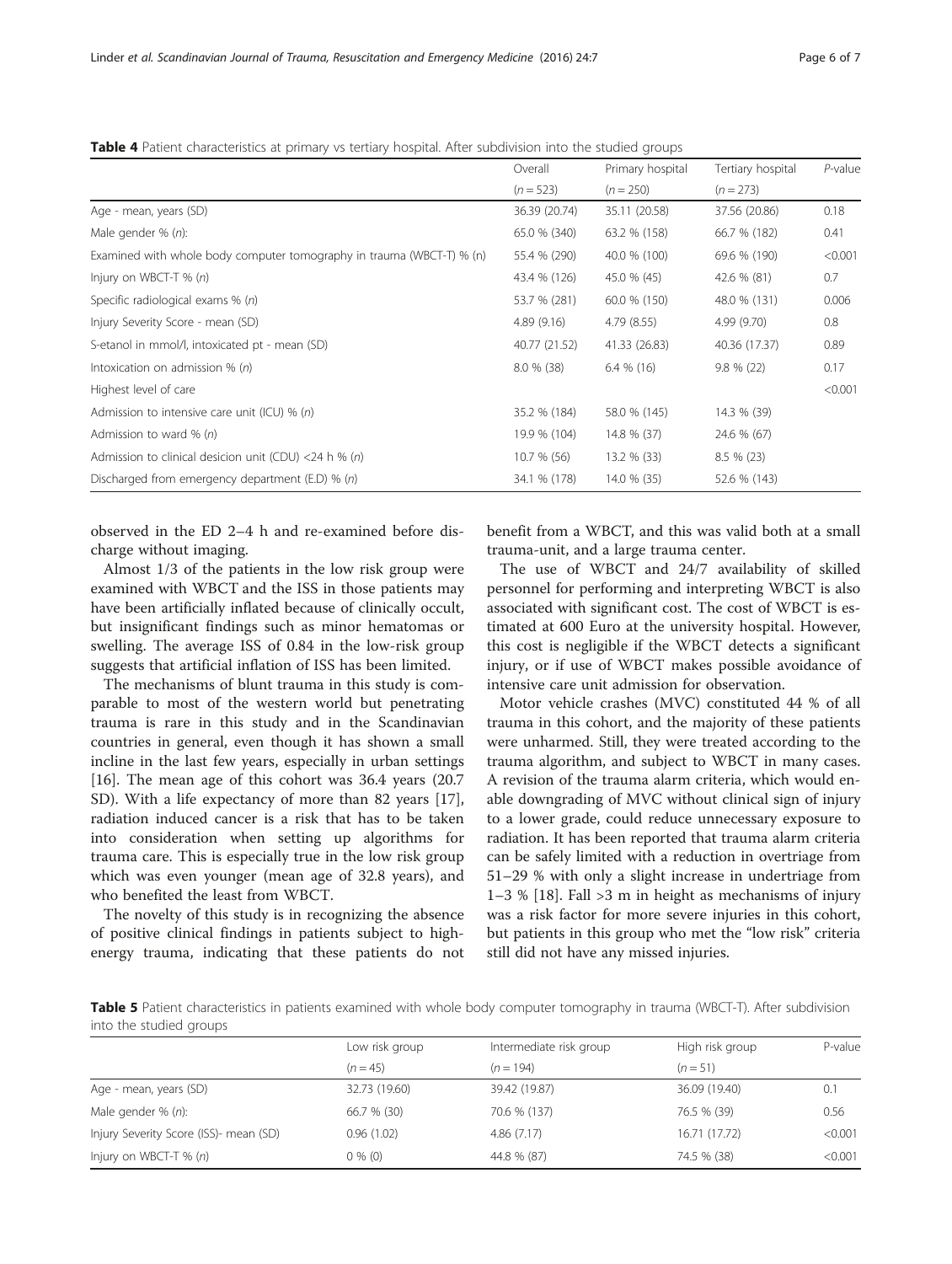<span id="page-5-0"></span>Table 4 Patient characteristics at primary vs tertiary hospital. After subdivision into the studied groups

|                                                                       | Overall       | Primary hospital | Tertiary hospital | P-value |
|-----------------------------------------------------------------------|---------------|------------------|-------------------|---------|
|                                                                       | $(n = 523)$   | $(n = 250)$      | $(n = 273)$       |         |
| Age - mean, years (SD)                                                | 36.39 (20.74) | 35.11 (20.58)    | 37.56 (20.86)     | 0.18    |
| Male gender $% (n)$ :                                                 | 65.0 % (340)  | 63.2 % (158)     | 66.7 % (182)      | 0.41    |
| Examined with whole body computer tomography in trauma (WBCT-T) % (n) | 55.4 % (290)  | 40.0 % (100)     | 69.6 % (190)      | < 0.001 |
| Injury on WBCT-T $% (n)$                                              | 43.4 % (126)  | 45.0 % (45)      | 42.6 % (81)       | 0.7     |
| Specific radiological exams % (n)                                     | 53.7 % (281)  | 60.0 % (150)     | 48.0 % (131)      | 0.006   |
| Injury Severity Score - mean (SD)                                     | 4.89(9.16)    | 4.79 (8.55)      | 4.99 (9.70)       | 0.8     |
| S-etanol in mmol/l, intoxicated pt - mean (SD)                        | 40.77 (21.52) | 41.33 (26.83)    | 40.36 (17.37)     | 0.89    |
| Intoxication on admission $% (n)$                                     | $8.0 \% (38)$ | $6.4\%$ (16)     | $9.8 \% (22)$     | 0.17    |
| Highest level of care                                                 |               |                  |                   | < 0.001 |
| Admission to intensive care unit (ICU) % (n)                          | 35.2 % (184)  | 58.0 % (145)     | 14.3 % (39)       |         |
| Admission to ward $% (n)$                                             | 19.9 % (104)  | 14.8 % (37)      | 24.6 % (67)       |         |
| Admission to clinical desicion unit (CDU) <24 h % (n)                 | 10.7 % (56)   | 13.2 % (33)      | $8.5 \% (23)$     |         |
| Discharged from emergency department (E.D) $% (n)$                    | 34.1 % (178)  | 14.0 % (35)      | 52.6 % (143)      |         |

observed in the ED 2–4 h and re-examined before discharge without imaging.

Almost 1/3 of the patients in the low risk group were examined with WBCT and the ISS in those patients may have been artificially inflated because of clinically occult, but insignificant findings such as minor hematomas or swelling. The average ISS of 0.84 in the low-risk group suggests that artificial inflation of ISS has been limited.

The mechanisms of blunt trauma in this study is comparable to most of the western world but penetrating trauma is rare in this study and in the Scandinavian countries in general, even though it has shown a small incline in the last few years, especially in urban settings [[16\]](#page-6-0). The mean age of this cohort was 36.4 years (20.7 SD). With a life expectancy of more than 82 years [\[17](#page-6-0)], radiation induced cancer is a risk that has to be taken into consideration when setting up algorithms for trauma care. This is especially true in the low risk group which was even younger (mean age of 32.8 years), and who benefited the least from WBCT.

The novelty of this study is in recognizing the absence of positive clinical findings in patients subject to highenergy trauma, indicating that these patients do not benefit from a WBCT, and this was valid both at a small trauma-unit, and a large trauma center.

The use of WBCT and 24/7 availability of skilled personnel for performing and interpreting WBCT is also associated with significant cost. The cost of WBCT is estimated at 600 Euro at the university hospital. However, this cost is negligible if the WBCT detects a significant injury, or if use of WBCT makes possible avoidance of intensive care unit admission for observation.

Motor vehicle crashes (MVC) constituted 44 % of all trauma in this cohort, and the majority of these patients were unharmed. Still, they were treated according to the trauma algorithm, and subject to WBCT in many cases. A revision of the trauma alarm criteria, which would enable downgrading of MVC without clinical sign of injury to a lower grade, could reduce unnecessary exposure to radiation. It has been reported that trauma alarm criteria can be safely limited with a reduction in overtriage from 51–29 % with only a slight increase in undertriage from 1–3 % [\[18\]](#page-6-0). Fall >3 m in height as mechanisms of injury was a risk factor for more severe injuries in this cohort, but patients in this group who met the "low risk" criteria still did not have any missed injuries.

Table 5 Patient characteristics in patients examined with whole body computer tomography in trauma (WBCT-T). After subdivision into the studied groups

|                                        | Low risk group | Intermediate risk group | High risk group | P-value |
|----------------------------------------|----------------|-------------------------|-----------------|---------|
|                                        | $(n = 45)$     | $(n = 194)$             | $(n=51)$        |         |
| Age - mean, years (SD)                 | 32.73 (19.60)  | 39.42 (19.87)           | 36.09 (19.40)   | 0.1     |
| Male gender $% (n)$ :                  | 66.7 % (30)    | 70.6 % (137)            | 76.5 % (39)     | 0.56    |
| Injury Severity Score (ISS)- mean (SD) | 0.96(1.02)     | 4.86(7.17)              | 16.71 (17.72)   | < 0.001 |
| Injury on WBCT-T $% (n)$               | $0\%$ (0)      | 44.8 % (87)             | 74.5 % (38)     | < 0.001 |